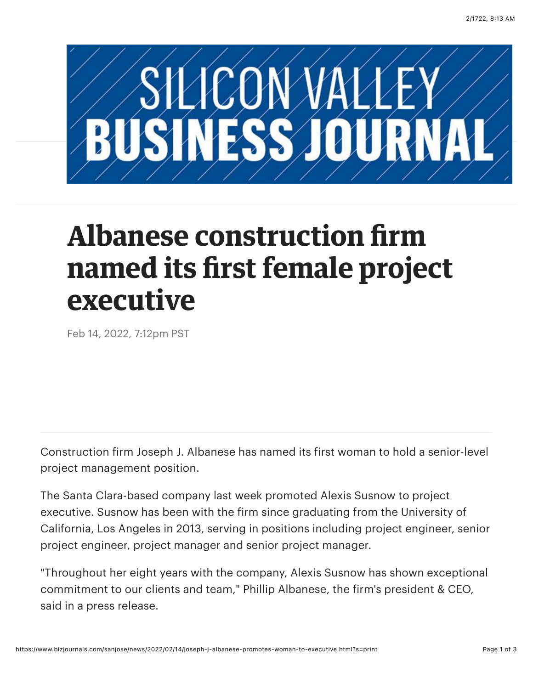

## **Albanese construction firm named its first female project executive**

Feb 14, 2022, 7:12pm PST

Construction firm Joseph J. Albanese has named its first woman to hold a senior-level project management position.

The Santa Clara-based company last week promoted [Alexis Susnow](https://www.bizjournals.com/sanjose/search/results?q=Alexis%20Susnow) to project executive. Susnow has been with the firm since graduating from the University of California, Los Angeles in 2013, serving in positions including project engineer, senior project engineer, project manager and senior project manager.

"Throughout her eight years with the company, [Alexis Susnow](https://www.bizjournals.com/sanjose/search/results?q=Alexis%20Susnow) has shown exceptional commitment to our clients and team," [Phillip Albanese](https://www.bizjournals.com/sanjose/search/results?q=Phillip%20Albanese), the firm's president & CEO, said in a press release.